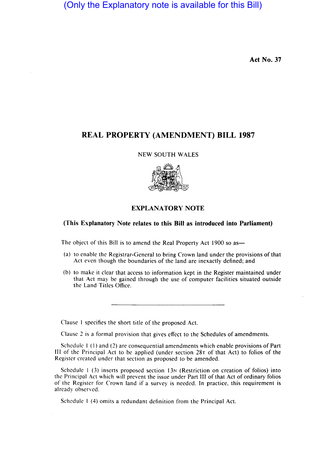(Only the Explanatory note is available for this Bill)

**Act No. 37** 

## **REAL PROPERTY (AMENDMENT) BILL 1987**

NEW SOUTH WALES



## **EXPLANATORY NOTE**

## **(This Explanatory Note relates to this Bill as introduced into Parliament)**

The object of this Bill is to amend the Real Property Act 1900 so as-

- (a) to enable the Registrar-General to bring Crown land under the provisions of that Act even though the boundaries of the land are inexactly defined; and
- (b) to make it clear that access to information kept in the Register maintained under that Act may be gained through the use of computer facilities situated outside the Land Titles Office.

Clause I specifies the short title of the proposed Act.

Clause 2 is a formal provision that gives effect to the Schedules of amendments.

Schedule I (I) and (2) are consequential amendments which enable provisions of Part III of the Principal Act to be applied (under section 2ST of that Act) to folios of the Register crcated under that section as proposed to be amended.

Schedule  $1(3)$  inserts proposed section  $13N$  (Restriction on creation of folios) into the Principal Act which will prevent the issue under Part III of that Act of ordinary folios of the Register for Crown land if a survey is needed. In practice, this requirement is already observed.

Schedule I (4) omits a redundant definition from the Principal Act.